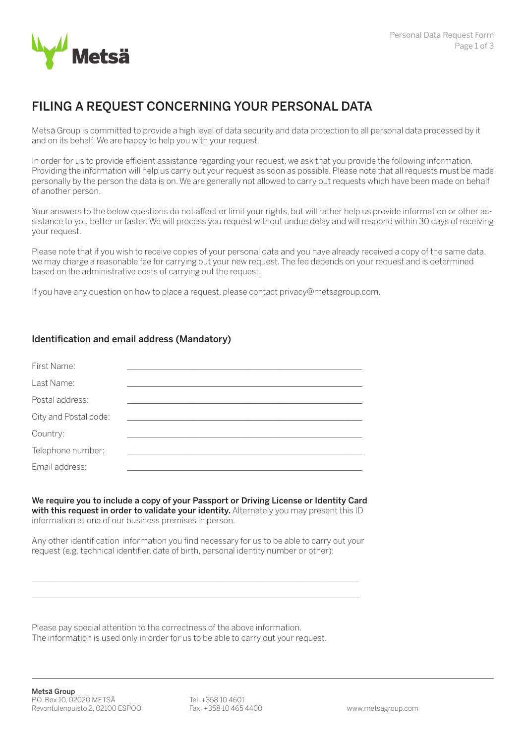

# FILING A REQUEST CONCERNING YOUR PERSONAL DATA

Metsä Group is committed to provide a high level of data security and data protection to all personal data processed by it and on its behalf. We are happy to help you with your request.

In order for us to provide efficient assistance regarding your request, we ask that you provide the following information. Providing the information will help us carry out your request as soon as possible. Please note that all requests must be made personally by the person the data is on. We are generally not allowed to carry out requests which have been made on behalf of another person.

Your answers to the below questions do not affect or limit your rights, but will rather help us provide information or other assistance to you better or faster. We will process you request without undue delay and will respond within 30 days of receiving your request.

Please note that if you wish to receive copies of your personal data and you have already received a copy of the same data, we may charge a reasonable fee for carrying out your new request. The fee depends on your request and is determined based on the administrative costs of carrying out the request.

If you have any question on how to place a request, please contact privacy@metsagroup.com.

## Identification and email address (Mandatory)

| First Name:           |  |  |
|-----------------------|--|--|
| Last Name:            |  |  |
| Postal address:       |  |  |
| City and Postal code: |  |  |
| Country:              |  |  |
| Telephone number:     |  |  |
| Email address:        |  |  |

We require you to include a copy of your Passport or Driving License or Identity Card with this request in order to validate your identity. Alternately you may present this ID information at one of our business premises in person.

Any other identification information you find necessary for us to be able to carry out your request (e.g. technical identifier, date of birth, personal identity number or other):

\_\_\_\_\_\_\_\_\_\_\_\_\_\_\_\_\_\_\_\_\_\_\_\_\_\_\_\_\_\_\_\_\_\_\_\_\_\_\_\_\_\_\_\_\_\_\_\_\_\_\_\_\_\_\_\_\_\_\_\_\_\_\_\_\_\_\_\_\_\_\_\_\_\_\_\_\_\_ \_\_\_\_\_\_\_\_\_\_\_\_\_\_\_\_\_\_\_\_\_\_\_\_\_\_\_\_\_\_\_\_\_\_\_\_\_\_\_\_\_\_\_\_\_\_\_\_\_\_\_\_\_\_\_\_\_\_\_\_\_\_\_\_\_\_\_\_\_\_\_\_\_\_\_\_\_\_

Please pay special attention to the correctness of the above information. The information is used only in order for us to be able to carry out your request.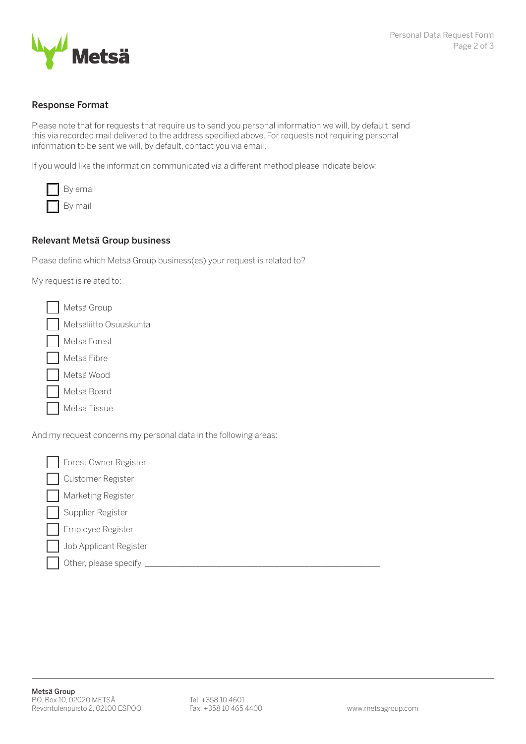

#### Response Format

Please note that for requests that require us to send you personal information we will, by default, send this via recorded mail delivered to the address specified above. For requests not requiring personal information to be sent we will, by default, contact you via email.

If you would like the information communicated via a different method please indicate below:

| By email |
|----------|
| Bv mail  |

#### Relevant Metsä Group business

Please define which Metsä Group business(es) your request is related to?

My request is related to:

| Metsä Group            |
|------------------------|
| Metsäliitto Osuuskunta |
| Metsä Forest           |
| Metsä Fibre            |
| Metsä Wood             |
| Metsä Board            |
| Metsä Tissue           |

And my request concerns my personal data in the following areas:

Forest Owner Register Customer Register Marketing Register Supplier Register Employee Register Job Applicant Register Other, please specify

Metsä Group P.O. Box 10, 02020 METSÄ Revontulenpuisto 2, 02100 ESPOO

Tel. +358 10 4601 Fax: +358 10 465 4400 www.metsagroup.com